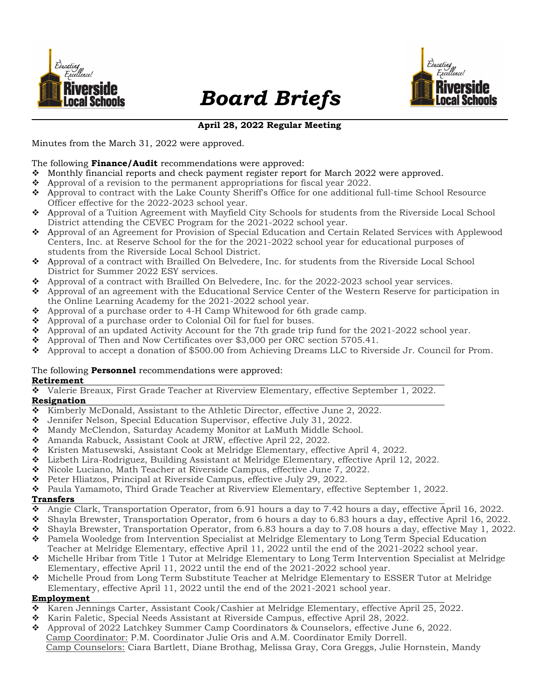

# Board Briefs



## April 28, 2022 Regular Meeting

Minutes from the March 31, 2022 were approved.

#### The following Finance/Audit recommendations were approved:

- Monthly financial reports and check payment register report for March 2022 were approved.
- $\bullet$  Approval of a revision to the permanent appropriations for fiscal year 2022.
- Approval to contract with the Lake County Sheriff's Office for one additional full-time School Resource Officer effective for the 2022-2023 school year.
- Approval of a Tuition Agreement with Mayfield City Schools for students from the Riverside Local School District attending the CEVEC Program for the 2021-2022 school year.
- Approval of an Agreement for Provision of Special Education and Certain Related Services with Applewood Centers, Inc. at Reserve School for the for the 2021-2022 school year for educational purposes of students from the Riverside Local School District.
- Approval of a contract with Brailled On Belvedere, Inc. for students from the Riverside Local School District for Summer 2022 ESY services.
- Approval of a contract with Brailled On Belvedere, Inc. for the 2022-2023 school year services.
- Approval of an agreement with the Educational Service Center of the Western Reserve for participation in the Online Learning Academy for the 2021-2022 school year.
- Approval of a purchase order to 4-H Camp Whitewood for 6th grade camp.
- ◆ Approval of a purchase order to Colonial Oil for fuel for buses.
- Approval of an updated Activity Account for the 7th grade trip fund for the 2021-2022 school year.
- Approval of Then and Now Certificates over \$3,000 per ORC section 5705.41.
- Approval to accept a donation of \$500.00 from Achieving Dreams LLC to Riverside Jr. Council for Prom.

## The following **Personnel** recommendations were approved:

#### Retirement

Valerie Breaux, First Grade Teacher at Riverview Elementary, effective September 1, 2022.

# Resignation

- ◆ Kimberly McDonald, Assistant to the Athletic Director, effective June 2, 2022.
- Jennifer Nelson, Special Education Supervisor, effective July 31, 2022.
- Mandy McClendon, Saturday Academy Monitor at LaMuth Middle School.
- Amanda Rabuck, Assistant Cook at JRW, effective April 22, 2022.
- \* Kristen Matusewski, Assistant Cook at Melridge Elementary, effective April 4, 2022.
- Lizbeth Lira-Rodriguez, Building Assistant at Melridge Elementary, effective April 12, 2022.
- ◆ Nicole Luciano, Math Teacher at Riverside Campus, effective June 7, 2022.
- Peter Hliatzos, Principal at Riverside Campus, effective July 29, 2022.
- Paula Yamamoto, Third Grade Teacher at Riverview Elementary, effective September 1, 2022.

## Transfers

- Angie Clark, Transportation Operator, from 6.91 hours a day to 7.42 hours a day, effective April 16, 2022.
- Shayla Brewster, Transportation Operator, from 6 hours a day to 6.83 hours a day, effective April 16, 2022.
- Shayla Brewster, Transportation Operator, from 6.83 hours a day to 7.08 hours a day, effective May 1, 2022.
- ◆ Pamela Wooledge from Intervention Specialist at Melridge Elementary to Long Term Special Education Teacher at Melridge Elementary, effective April 11, 2022 until the end of the 2021-2022 school year.
- Michelle Hribar from Title 1 Tutor at Melridge Elementary to Long Term Intervention Specialist at Melridge Elementary, effective April 11, 2022 until the end of the 2021-2022 school year.
- Michelle Proud from Long Term Substitute Teacher at Melridge Elementary to ESSER Tutor at Melridge Elementary, effective April 11, 2022 until the end of the 2021-2021 school year.

## Employment

- Karen Jennings Carter, Assistant Cook/Cashier at Melridge Elementary, effective April 25, 2022.
- \* Karin Faletic, Special Needs Assistant at Riverside Campus, effective April 28, 2022.
- Approval of 2022 Latchkey Summer Camp Coordinators & Counselors, effective June 6, 2022.
- Camp Coordinator: P.M. Coordinator Julie Oris and A.M. Coordinator Emily Dorrell.
- Camp Counselors: Ciara Bartlett, Diane Brothag, Melissa Gray, Cora Greggs, Julie Hornstein, Mandy